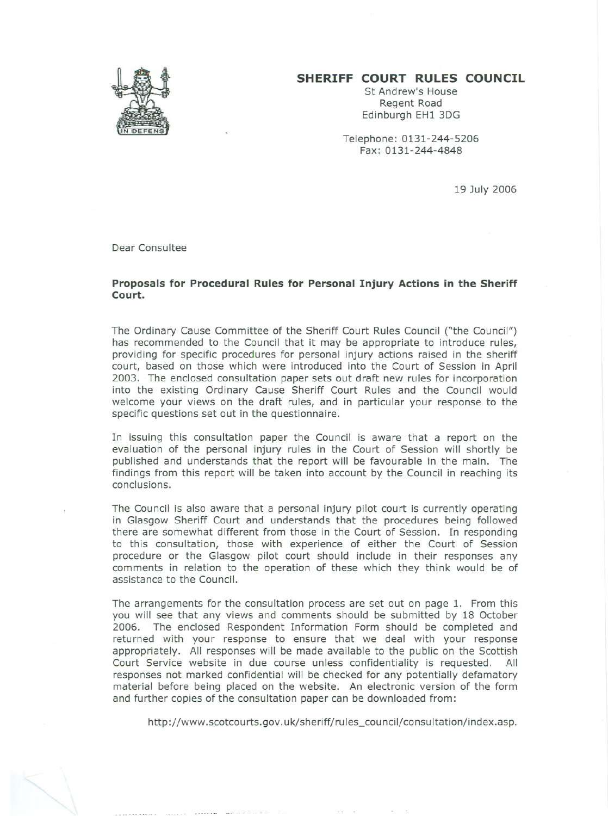## **SHERIFF COURT RULES COUNCIL**

St Andrew's House Regent Road Edinburgh EH1 3DG

Telephone: 0131-244-5206 Fax: 0131-244-4848

19 July 2006

Dear Consultee

## **Proposals for Procedural Rules for Personal Injury Actions in the Sheriff Court.**

The Ordinary Cause Committee of the Sheriff Court Rules Council ("the Council") has recommended to the Council that it may be appropriate to introduce rules, providing for specific procedures for personal injury actions raised in the sheriff court, based on those which were introduced into the Court of Session in April 2003. The enclosed consultation paper sets out draft new rules for incorporation into the existing Ordinary Cause Sheriff Court Rules and the Council would welcome your views on the draft rules, and in particular your response to the specific questions set out in the questionnaire.

In issuing this consultation paper the Council is aware that a report on the evaluation of the personal injury rules in the Court of Session will shortly be published and understands that the report will be favourable in the main. The findings from this report will be taken into account by the Council in reaching its conclusions.

The Council is also aware that a personal injury pilot court is currently operating in Glasgow Sheriff Court and understands that the procedures being followed there are somewhat different from those in the Court of Session. In responding to this consultation, those with experience of either the Court of Session procedure or the Glasgow pilot court should include in their responses any comments in relation to the operation of these which they think would be of assistance to the Council.

The arrangements for the consultation process are set out on page 1. From this you will see that any views and comments should be submitted by 18 October 2006. The enclosed Respondent Information Form should be completed and returned with your response to ensure that we deal with your response appropriately. All responses will be made available to the public on the Scottish Court Service website in due course unless confidentiality is requested. All Court Service website in due course unless confidentiality is requested. responses not marked confidential will be checked for any potentially defamatory material before being placed on the website. An electronic version of the form and further copies of the consultation paper can be downloaded from:

http://www.scotcourts.gov.uk/sheriff/rules\_council/consultation/index.asp.